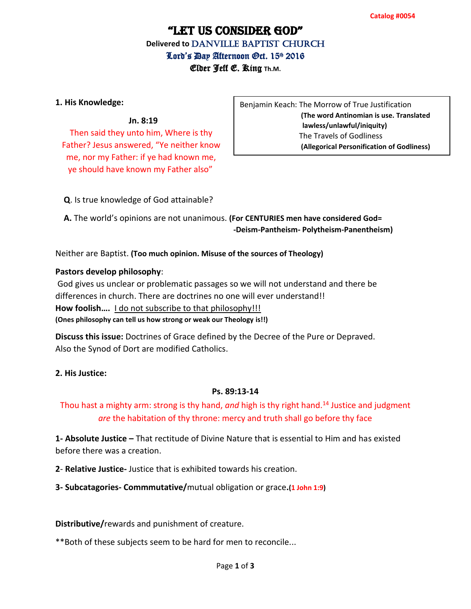# "Let us consider god" **Delivered to DANVILLE BAPTIST CHURCH** Lord's *Day* Afternoon *Oct. 15th 2016* Elder Jeff E. King **Th.M.**

#### **1. His Knowledge:**

### **Jn. 8:19**

Then said they unto him, Where is thy Father? Jesus answered, "Ye neither know me, nor my Father: if ye had known me, ye should have known my Father also"

Benjamin Keach: The Morrow of True Justification  **(The word Antinomian is use. Translated lawless/unlawful/iniquity)** The Travels of Godliness **(Allegorical Personification of Godliness)**

**Q**. Is true knowledge of God attainable?

 **A.** The world's opinions are not unanimous. **(For CENTURIES men have considered God= -Deism-Pantheism- Polytheism-Panentheism)** 

Neither are Baptist. **(Too much opinion. Misuse of the sources of Theology)**

#### **Pastors develop philosophy**:

God gives us unclear or problematic passages so we will not understand and there be differences in church. There are doctrines no one will ever understand!! **How foolish….** I do not subscribe to that philosophy!!! **(Ones philosophy can tell us how strong or weak our Theology is!!)**

**Discuss this issue:** Doctrines of Grace defined by the Decree of the Pure or Depraved. Also the Synod of Dort are modified Catholics.

# **2. His Justice:**

# **Ps. 89:13-14**

# Thou hast a mighty arm: strong is thy hand, *and* high is thy right hand.<sup>14</sup> Justice and judgment *are* the habitation of thy throne: mercy and truth shall go before thy face

**1- Absolute Justice –** That rectitude of Divine Nature that is essential to Him and has existed before there was a creation.

**2**- **Relative Justice-** Justice that is exhibited towards his creation.

**3- Subcatagories- Commmutative/**mutual obligation or grace**.(1 John 1:9)**

**Distributive/**rewards and punishment of creature.

\*\*Both of these subjects seem to be hard for men to reconcile...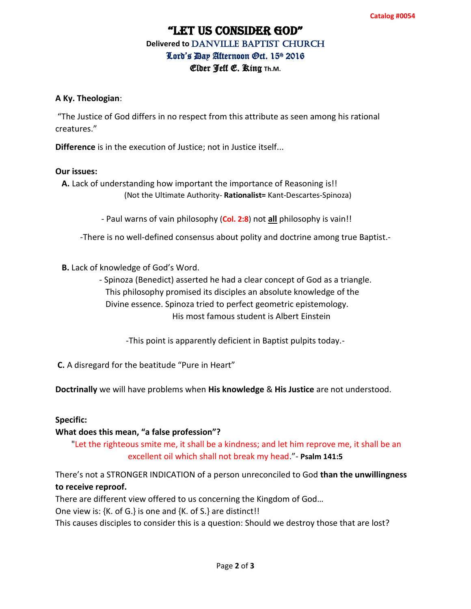# "Let us consider god" **Delivered to DANVILLE BAPTIST CHURCH** Lord's *Day* Afternoon *Oct. 15th 2016* Elder Jeff E. King **Th.M.**

#### **A Ky. Theologian**:

"The Justice of God differs in no respect from this attribute as seen among his rational creatures."

**Difference** is in the execution of Justice; not in Justice itself...

#### **Our issues:**

 **A.** Lack of understanding how important the importance of Reasoning is!! (Not the Ultimate Authority- **Rationalist=** Kant-Descartes-Spinoza)

- Paul warns of vain philosophy (**Col. 2:8**) not **all** philosophy is vain!!

-There is no well-defined consensus about polity and doctrine among true Baptist.-

- **B.** Lack of knowledge of God's Word.
	- Spinoza (Benedict) asserted he had a clear concept of God as a triangle. This philosophy promised its disciples an absolute knowledge of the Divine essence. Spinoza tried to perfect geometric epistemology. His most famous student is Albert Einstein

-This point is apparently deficient in Baptist pulpits today.-

**C.** A disregard for the beatitude "Pure in Heart"

**Doctrinally** we will have problems when **His knowledge** & **His Justice** are not understood.

#### **Specific:**

#### **What does this mean, "a false profession"?**

"Let the righteous smite me, it shall be a kindness; and let him reprove me, it shall be an excellent oil which shall not break my head."- **Psalm 141:5**

There's not a STRONGER INDICATION of a person unreconciled to God **than the unwillingness to receive reproof.**

There are different view offered to us concerning the Kingdom of God…

One view is: {K. of G.} is one and {K. of S.} are distinct!!

This causes disciples to consider this is a question: Should we destroy those that are lost?